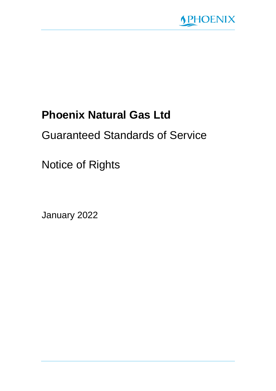

# **Phoenix Natural Gas Ltd**

# Guaranteed Standards of Service

Notice of Rights

January 2022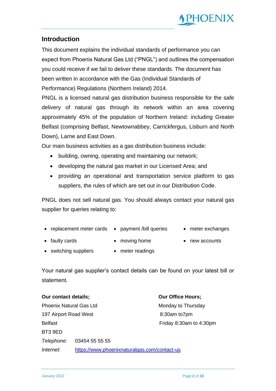

### **Introduction**

This document explains the individual standards of performance you can expect from Phoenix Natural Gas Ltd ("PNGL") and outlines the compensation you could receive if we fail to deliver these standards. The document has been written in accordance with the Gas (Individual Standards of Performance) Regulations (Northern Ireland) 2014.

PNGL is a licensed natural gas distribution business responsible for the safe delivery of natural gas through its network within an area covering approximately 45% of the population of Northern Ireland: including Greater Belfast (comprising Belfast, Newtownabbey, Carrickfergus, Lisburn and North Down), Larne and East Down.

Our main business activities as a gas distribution business include:

- building, owning, operating and maintaining our network;
- developing the natural gas market in our Licensed Area; and
- providing an operational and transportation service platform to gas suppliers, the rules of which are set out in our Distribution Code.

PNGL does not sell natural gas. You should always contact your natural gas supplier for queries relating to:

- replacement meter cards payment /bill queries meter exchanges
	-

- 
- 
- faulty cards moving home new accounts
- switching suppliers meter readings

Your natural gas supplier's contact details can be found on your latest bill or statement.

**Our contact details; Our Office Hours;** Phoenix Natural Gas Ltd Monday to Thursday 197 Airport Road West 8:30am to7pm Belfast **Friday 8:30am to 4:30pm** Friday 8:30am to 4:30pm BT3 9ED *Telephone:* 03454 55 55 55 *Internet:* <https://www.phoenixnaturalgas.com/contact-us>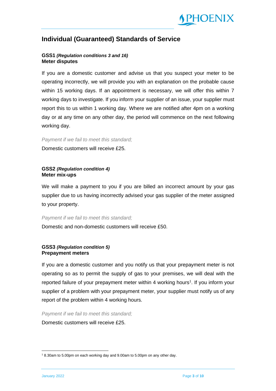

### **Individual (Guaranteed) Standards of Service**

#### **GSS1** *(Regulation conditions 3 and 16)* **Meter disputes**

If you are a domestic customer and advise us that you suspect your meter to be operating incorrectly, we will provide you with an explanation on the probable cause within 15 working days. If an appointment is necessary, we will offer this within 7 working days to investigate. If you inform your supplier of an issue, your supplier must report this to us within 1 working day. Where we are notified after 4pm on a working day or at any time on any other day, the period will commence on the next following working day.

#### *Payment if we fail to meet this standard;*

Domestic customers will receive £25.

#### **GSS2** *(Regulation condition 4)* **Meter mix-ups**

We will make a payment to you if you are billed an incorrect amount by your gas supplier due to us having incorrectly advised your gas supplier of the meter assigned to your property.

#### *Payment if we fail to meet this standard;*

Domestic and non-domestic customers will receive £50.

#### **GSS3** *(Regulation condition 5)* **Prepayment meters**

If you are a domestic customer and you notify us that your prepayment meter is not operating so as to permit the supply of gas to your premises, we will deal with the reported failure of your prepayment meter within 4 working hours<sup>1</sup>. If you inform your supplier of a problem with your prepayment meter, your supplier must notify us of any report of the problem within 4 working hours.

*Payment if we fail to meet this standard;* 

Domestic customers will receive £25.

<sup>1</sup> 8.30am to 5.00pm on each working day and 9.00am to 5.00pm on any other day.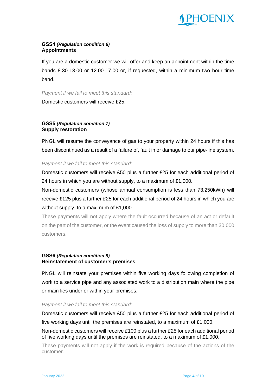

#### **GSS4** *(Regulation condition 6)* **Appointments**

If you are a domestic customer we will offer and keep an appointment within the time bands 8.30-13.00 or 12.00-17.00 or, if requested, within a minimum two hour time band.

*Payment if we fail to meet this standard;* 

Domestic customers will receive £25.

#### **GSS5** *(Regulation condition 7)* **Supply restoration**

PNGL will resume the conveyance of gas to your property within 24 hours if this has been discontinued as a result of a failure of, fault in or damage to our pipe-line system.

#### *Payment if we fail to meet this standard;*

Domestic customers will receive £50 plus a further £25 for each additional period of 24 hours in which you are without supply, to a maximum of £1,000.

Non-domestic customers (whose annual consumption is less than 73,250kWh) will receive £125 plus a further £25 for each additional period of 24 hours in which you are without supply, to a maximum of £1,000.

These payments will not apply where the fault occurred because of an act or default on the part of the customer, or the event caused the loss of supply to more than 30,000 customers.

#### **GSS6** *(Regulation condition 8)* **Reinstatement of customer's premises**

PNGL will reinstate your premises within five working days following completion of work to a service pipe and any associated work to a distribution main where the pipe or main lies under or within your premises.

#### *Payment if we fail to meet this standard;*

Domestic customers will receive £50 plus a further £25 for each additional period of five working days until the premises are reinstated, to a maximum of £1,000.

Non-domestic customers will receive £100 plus a further £25 for each additional period of five working days until the premises are reinstated, to a maximum of £1,000.

These payments will not apply if the work is required because of the actions of the customer.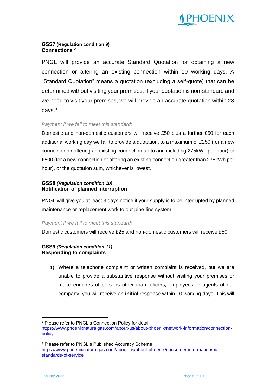

#### **GSS7 (Regulation condition 9) Connections <sup>2</sup>**

PNGL will provide an accurate Standard Quotation for obtaining a new connection or altering an existing connection within 10 working days. A "Standard Quotation" means a quotation (excluding a self-quote) that can be determined without visiting your premises. If your quotation is non-standard and we need to visit your premises, we will provide an accurate quotation within 28 days.<sup>3</sup>

#### *Payment if we fail to meet this standard;*

Domestic and non-domestic customers will receive £50 plus a further £50 for each additional working day we fail to provide a quotation, to a maximum of £250 (for a new connection or altering an existing connection up to and including 275kWh per hour) or £500 (for a new connection or altering an existing connection greater than 275kWh per hour), or the quotation sum, whichever is lowest.

#### **GSS8** *(Regulation condition 10)* **Notification of planned interruption**

PNGL will give you at least 3 days notice if your supply is to be interrupted by planned maintenance or replacement work to our pipe-line system.

#### *Payment if we fail to meet this standard;*

Domestic customers will receive £25 and non-domestic customers will receive £50.

#### **GSS9** *(Regulation condition 11)* **Responding to complaints**

1) Where a telephone complaint or written complaint is received, but we are unable to provide a substantive response without visiting your premises or make enquires of persons other than officers, employees or agents of our company, you will receive an **initial** response within 10 working days. This will

**<sup>2</sup>** Please refer to PNGL's Connection Policy for detail [https://www.phoenixnaturalgas.com/about-us/about-phoenix/network-information/connection](https://www.phoenixnaturalgas.com/about-us/about-phoenix/network-information/connection-policy)[policy](https://www.phoenixnaturalgas.com/about-us/about-phoenix/network-information/connection-policy)

<sup>3</sup> Please refer to PNGL's Published Accuracy Scheme [https://www.phoenixnaturalgas.com/about-us/about-phoenix/consumer-information/our](https://www.phoenixnaturalgas.com/about-us/about-phoenix/consumer-information/our-standards-of-service)[standards-of-service](https://www.phoenixnaturalgas.com/about-us/about-phoenix/consumer-information/our-standards-of-service)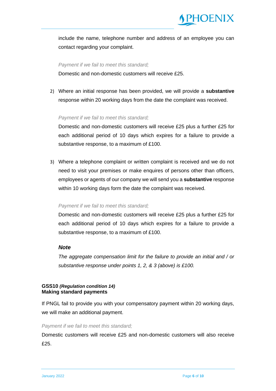

include the name, telephone number and address of an employee you can contact regarding your complaint.

*Payment if we fail to meet this standard;*  Domestic and non-domestic customers will receive £25.

2) Where an initial response has been provided, we will provide a **substantive** response within 20 working days from the date the complaint was received.

#### *Payment if we fail to meet this standard;*

Domestic and non-domestic customers will receive £25 plus a further £25 for each additional period of 10 days which expires for a failure to provide a substantive response, to a maximum of £100.

3) Where a telephone complaint or written complaint is received and we do not need to visit your premises or make enquires of persons other than officers, employees or agents of our company we will send you a **substantive** response within 10 working days form the date the complaint was received.

#### *Payment if we fail to meet this standard;*

Domestic and non-domestic customers will receive £25 plus a further £25 for each additional period of 10 days which expires for a failure to provide a substantive response, to a maximum of £100.

#### *Note*

*The aggregate compensation limit for the failure to provide an initial and / or substantive response under points 1, 2, & 3 (above) is £100.*

#### **GSS10** *(Regulation condition 14)* **Making standard payments**

If PNGL fail to provide you with your compensatory payment within 20 working days, we will make an additional payment.

#### *Payment if we fail to meet this standard;*

Domestic customers will receive £25 and non-domestic customers will also receive £25.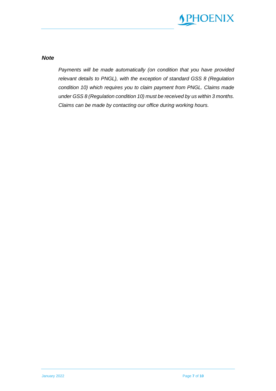

*Note*

*Payments will be made automatically (on condition that you have provided relevant details to PNGL), with the exception of standard GSS 8 (Regulation condition 10) which requires you to claim payment from PNGL. Claims made under GSS 8 (Regulation condition 10) must be received by us within 3 months. Claims can be made by contacting our office during working hours.*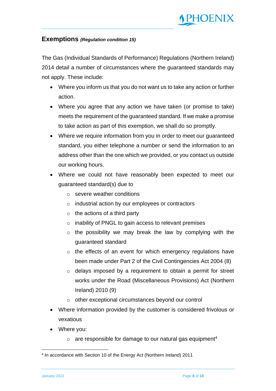

#### **Exemptions** *(Regulation condition 15)*

The Gas (Individual Standards of Performance) Regulations (Northern Ireland) 2014 detail a number of circumstances where the guaranteed standards may not apply. These include:

- Where you inform us that you do not want us to take any action or further action.
- Where you agree that any action we have taken (or promise to take) meets the requirement of the guaranteed standard. If we make a promise to take action as part of this exemption, we shall do so promptly.
- Where we require information from you in order to meet our guaranteed standard, you either telephone a number or send the information to an address other than the one which we provided, or you contact us outside our working hours.
- Where we could not have reasonably been expected to meet our guaranteed standard(s) due to
	- o severe weather conditions
	- o industrial action by our employees or contractors
	- $\circ$  the actions of a third party
	- o inability of PNGL to gain access to relevant premises
	- $\circ$  the possibility we may break the law by complying with the guaranteed standard
	- o the effects of an event for which emergency regulations have been made under Part 2 of the Civil Contingencies Act 2004 (8)
	- o delays imposed by a requirement to obtain a permit for street works under the Road (Miscellaneous Provisions) Act (Northern Ireland) 2010 (9)
	- o other exceptional circumstances beyond our control
- Where information provided by the customer is considered frivolous or vexatious
- Where you:
	- $\circ$  are responsible for damage to our natural gas equipment<sup>4</sup>

<sup>4</sup> In accordance with Section 10 of the Energy Act (Northern Ireland) 2011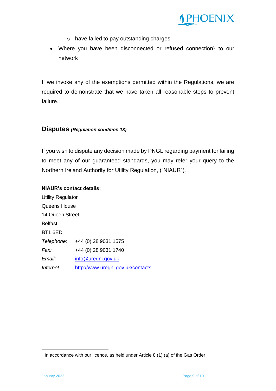

- o have failed to pay outstanding charges
- Where you have been disconnected or refused connection<sup>5</sup> to our network

If we invoke any of the exemptions permitted within the Regulations, we are required to demonstrate that we have taken all reasonable steps to prevent failure.

#### **Disputes** *(Regulation condition 13)*

If you wish to dispute any decision made by PNGL regarding payment for failing to meet any of our guaranteed standards, you may refer your query to the Northern Ireland Authority for Utility Regulation, ("NIAUR").

#### **NIAUR's contact details;**

Utility Regulator Queens House 14 Queen Street Belfast BT1 6ED *Telephone:* +44 (0) 28 9031 1575 *Fax:* +44 (0) 28 9031 1740 *Email:* [info@uregni.gov.uk](mailto:info@uregni.gov.uk) *Internet:* <http://www.uregni.gov.uk/contacts>

<sup>5</sup> In accordance with our licence, as held under Article 8 (1) (a) of the Gas Order